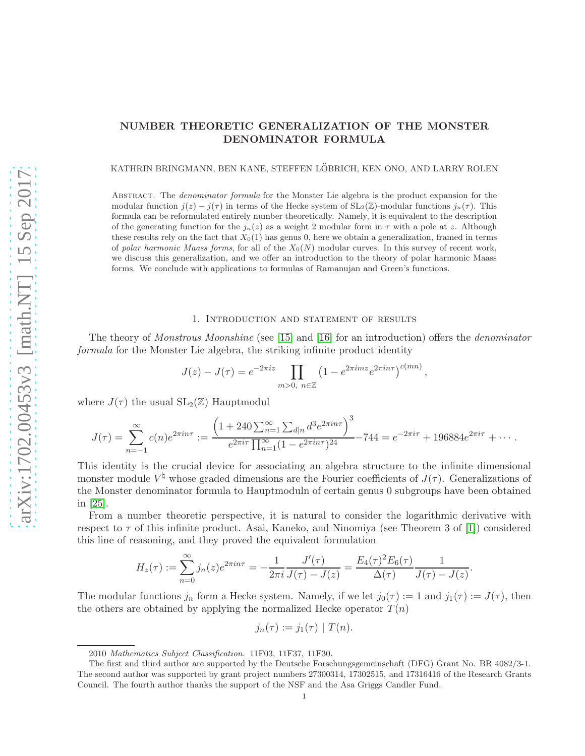# NUMBER THEORETIC GENERALIZATION OF THE MONSTER DENOMINATOR FORMULA

KATHRIN BRINGMANN, BEN KANE, STEFFEN LÖBRICH, KEN ONO, AND LARRY ROLEN

Abstract. The denominator formula for the Monster Lie algebra is the product expansion for the modular function  $j(z) - j(\tau)$  in terms of the Hecke system of  $SL_2(\mathbb{Z})$ -modular functions  $j_n(\tau)$ . This formula can be reformulated entirely number theoretically. Namely, it is equivalent to the description of the generating function for the  $j_n(z)$  as a weight 2 modular form in  $\tau$  with a pole at z. Although these results rely on the fact that  $X_0(1)$  has genus 0, here we obtain a generalization, framed in terms of polar harmonic Maass forms, for all of the  $X_0(N)$  modular curves. In this survey of recent work, we discuss this generalization, and we offer an introduction to the theory of polar harmonic Maass forms. We conclude with applications to formulas of Ramanujan and Green's functions.

### 1. Introduction and statement of results

The theory of Monstrous Moonshine (see [\[15\]](#page-11-0) and [\[16\]](#page-11-1) for an introduction) offers the denominator formula for the Monster Lie algebra, the striking infinite product identity

$$
J(z) - J(\tau) = e^{-2\pi i z} \prod_{m>0, n \in \mathbb{Z}} \left(1 - e^{2\pi i m z} e^{2\pi i n \tau}\right)^{c(mn)},
$$

where  $J(\tau)$  the usual  $SL_2(\mathbb{Z})$  Hauptmodul

$$
J(\tau) = \sum_{n=-1}^{\infty} c(n)e^{2\pi i n \tau} := \frac{\left(1 + 240 \sum_{n=1}^{\infty} \sum_{d|n} d^3 e^{2\pi i n \tau}\right)^3}{e^{2\pi i \tau} \prod_{n=1}^{\infty} (1 - e^{2\pi i n \tau})^{24}} - 744 = e^{-2\pi i \tau} + 196884e^{2\pi i \tau} + \cdots
$$

This identity is the crucial device for associating an algebra structure to the infinite dimensional monster module  $V^{\dagger}$  whose graded dimensions are the Fourier coefficients of  $J(\tau)$ . Generalizations of the Monster denominator formula to Hauptmoduln of certain genus 0 subgroups have been obtained in [\[25\]](#page-11-2).

From a number theoretic perspective, it is natural to consider the logarithmic derivative with respect to  $\tau$  of this infinite product. Asai, Kaneko, and Ninomiya (see Theorem 3 of [\[1\]](#page-10-0)) considered this line of reasoning, and they proved the equivalent formulation

$$
H_z(\tau) := \sum_{n=0}^{\infty} j_n(z)e^{2\pi i n \tau} = -\frac{1}{2\pi i} \frac{J'(\tau)}{J(\tau) - J(z)} = \frac{E_4(\tau)^2 E_6(\tau)}{\Delta(\tau)} \frac{1}{J(\tau) - J(z)}.
$$

The modular functions  $j_n$  form a Hecke system. Namely, if we let  $j_0(\tau) := 1$  and  $j_1(\tau) := J(\tau)$ , then the others are obtained by applying the normalized Hecke operator  $T(n)$ 

$$
j_n(\tau) := j_1(\tau) | T(n).
$$

<sup>2010</sup> Mathematics Subject Classification. 11F03, 11F37, 11F30.

The first and third author are supported by the Deutsche Forschungsgemeinschaft (DFG) Grant No. BR 4082/3-1. The second author was supported by grant project numbers 27300314, 17302515, and 17316416 of the Research Grants Council. The fourth author thanks the support of the NSF and the Asa Griggs Candler Fund.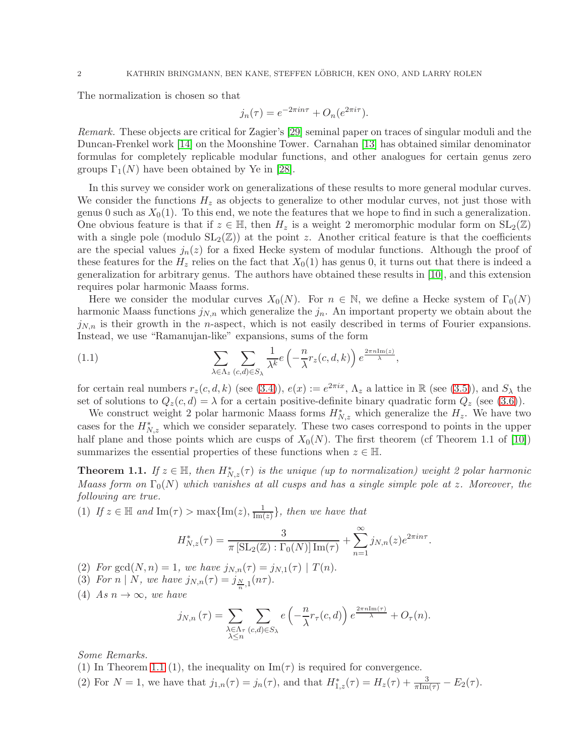The normalization is chosen so that

$$
j_n(\tau) = e^{-2\pi i n\tau} + O_n(e^{2\pi i \tau}).
$$

Remark. These objects are critical for Zagier's [\[29\]](#page-11-3) seminal paper on traces of singular moduli and the Duncan-Frenkel work [\[14\]](#page-11-4) on the Moonshine Tower. Carnahan [\[13\]](#page-11-5) has obtained similar denominator formulas for completely replicable modular functions, and other analogues for certain genus zero groups  $\Gamma_1(N)$  have been obtained by Ye in [\[28\]](#page-11-6).

In this survey we consider work on generalizations of these results to more general modular curves. We consider the functions  $H_z$  as objects to generalize to other modular curves, not just those with genus 0 such as  $X_0(1)$ . To this end, we note the features that we hope to find in such a generalization. One obvious feature is that if  $z \in \mathbb{H}$ , then  $H_z$  is a weight 2 meromorphic modular form on  $SL_2(\mathbb{Z})$ with a single pole (modulo  $SL_2(\mathbb{Z})$ ) at the point z. Another critical feature is that the coefficients are the special values  $j_n(z)$  for a fixed Hecke system of modular functions. Although the proof of these features for the  $H_z$  relies on the fact that  $X_0(1)$  has genus 0, it turns out that there is indeed a generalization for arbitrary genus. The authors have obtained these results in [\[10\]](#page-10-1), and this extension requires polar harmonic Maass forms.

Here we consider the modular curves  $X_0(N)$ . For  $n \in \mathbb{N}$ , we define a Hecke system of  $\Gamma_0(N)$ harmonic Maass functions  $j_{N,n}$  which generalize the  $j_n$ . An important property we obtain about the  $j_{N,n}$  is their growth in the *n*-aspect, which is not easily described in terms of Fourier expansions. Instead, we use "Ramanujan-like" expansions, sums of the form

<span id="page-1-1"></span>(1.1) 
$$
\sum_{\lambda \in \Lambda_z} \sum_{(c,d) \in S_{\lambda}} \frac{1}{\lambda^k} e\left(-\frac{n}{\lambda} r_z(c,d,k)\right) e^{\frac{2\pi n \text{Im}(z)}{\lambda}},
$$

for certain real numbers  $r_z(c, d, k)$  (see [\(3.4\)](#page-7-0)),  $e(x) := e^{2\pi i x}$ ,  $\Lambda_z$  a lattice in  $\mathbb R$  (see [\(3.5\)](#page-7-1)), and  $S_\lambda$  the set of solutions to  $Q_z(c, d) = \lambda$  for a certain positive-definite binary quadratic form  $Q_z$  (see [\(3.6\)](#page-7-2)).

We construct weight 2 polar harmonic Maass forms  $H^*_{N,z}$  which generalize the  $H_z$ . We have two cases for the  $H_{N,z}^*$  which we consider separately. These two cases correspond to points in the upper half plane and those points which are cusps of  $X_0(N)$ . The first theorem (cf Theorem 1.1 of [\[10\]](#page-10-1)) summarizes the essential properties of these functions when  $z \in \mathbb{H}$ .

<span id="page-1-0"></span>**Theorem 1.1.** If  $z \in \mathbb{H}$ , then  $H^*_{N,z}(\tau)$  is the unique (up to normalization) weight 2 polar harmonic Maass form on  $\Gamma_0(N)$  which vanishes at all cusps and has a single simple pole at z. Moreover, the following are true.

(1) If  $z \in \mathbb{H}$  and  $\text{Im}(\tau) > \max\{\text{Im}(z), \frac{1}{\text{Im}(z)}\}$ , then we have that

$$
H_{N,z}^*(\tau) = \frac{3}{\pi \left[ SL_2(\mathbb{Z}) : \Gamma_0(N) \right] \operatorname{Im}(\tau)} + \sum_{n=1}^{\infty} j_{N,n}(z) e^{2\pi i n \tau}.
$$

(2) For gcd(N, n) = 1, we have  $j_{N,n}(\tau) = j_{N,1}(\tau) | T(n)$ .

- (3) For  $n \mid N$ , we have  $j_{N,n}(\tau) = j_{\frac{N}{n},1}(n\tau)$ .
- (4) As  $n \to \infty$ , we have

$$
j_{N,n}(\tau) = \sum_{\substack{\lambda \in \Lambda_{\tau} \\ \lambda \leq n}} \sum_{(c,d) \in S_{\lambda}} e\left(-\frac{n}{\lambda} r_{\tau}(c,d)\right) e^{\frac{2\pi n \operatorname{Im}(\tau)}{\lambda}} + O_{\tau}(n).
$$

Some Remarks.

(1) In Theorem [1.1](#page-1-0) (1), the inequality on  $\text{Im}(\tau)$  is required for convergence.

(2) For  $N = 1$ , we have that  $j_{1,n}(\tau) = j_n(\tau)$ , and that  $H_{1,z}^*(\tau) = H_z(\tau) + \frac{3}{\pi \text{Im}(\tau)} - E_2(\tau)$ .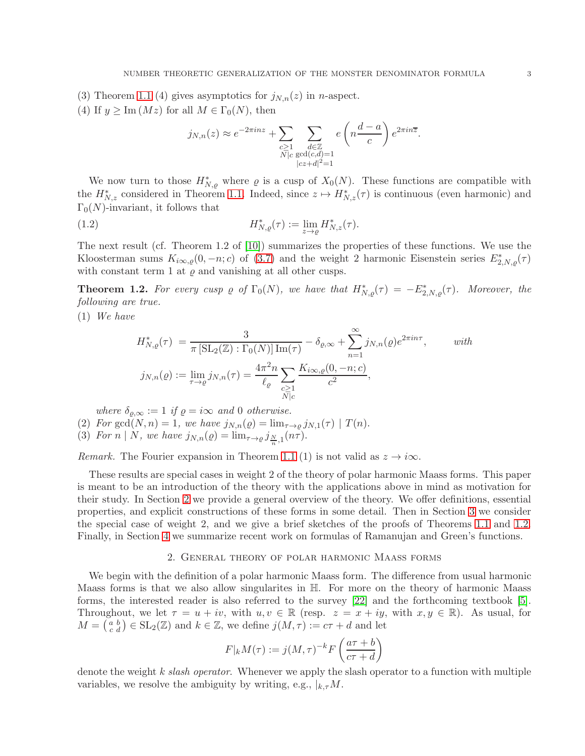(3) Theorem [1.1](#page-1-0) (4) gives asymptotics for  $j_{N,n}(z)$  in *n*-aspect.

(4) If  $y \geq \text{Im}(Mz)$  for all  $M \in \Gamma_0(N)$ , then

$$
j_{N,n}(z) \approx e^{-2\pi i n z} + \sum_{\substack{c \ge 1 \\ N \mid c}} \sum_{\substack{d \in \mathbb{Z} \\ \gcd(c,d)=1 \\ |cz+d|^2=1}} e\left(n\frac{d-a}{c}\right) e^{2\pi i n \overline{z}}.
$$

We now turn to those  $H^*_{N,\varrho}$  where  $\varrho$  is a cusp of  $X_0(N)$ . These functions are compatible with the  $H^*_{N,z}$  considered in Theorem [1.1.](#page-1-0) Indeed, since  $z \mapsto H^*_{N,z}(\tau)$  is continuous (even harmonic) and  $\Gamma_0(N)$ -invariant, it follows that

(1.2) 
$$
H^*_{N,\varrho}(\tau) := \lim_{z \to \varrho} H^*_{N,z}(\tau).
$$

The next result (cf. Theorem 1.2 of [\[10\]](#page-10-1)) summarizes the properties of these functions. We use the Kloosterman sums  $K_{i\infty,\varrho}(0,-n;c)$  of [\(3.7\)](#page-7-3) and the weight 2 harmonic Eisenstein series  $E_{2,N,\varrho}^*(\tau)$ with constant term 1 at  $\varrho$  and vanishing at all other cusps.

<span id="page-2-1"></span>**Theorem 1.2.** For every cusp  $\varrho$  of  $\Gamma_0(N)$ , we have that  $H^*_{N,\varrho}(\tau) = -E^*_{2,N,\varrho}(\tau)$ . Moreover, the following are true.

(1) We have

$$
H_{N,\varrho}^*(\tau) = \frac{3}{\pi \left[\text{SL}_2(\mathbb{Z}) : \Gamma_0(N)\right] \text{Im}(\tau)} - \delta_{\varrho,\infty} + \sum_{n=1}^{\infty} j_{N,n}(\varrho) e^{2\pi i n \tau}, \qquad with
$$
  

$$
j_{N,n}(\varrho) := \lim_{\tau \to \varrho} j_{N,n}(\tau) = \frac{4\pi^2 n}{\ell_{\varrho}} \sum_{\substack{c \ge 1 \\ N \mid c}} \frac{K_{i\infty,\varrho}(0, -n; c)}{c^2},
$$

where  $\delta_{\rho,\infty} := 1$  if  $\rho = i\infty$  and 0 otherwise.

(2) For gcd( $N, n$ ) = 1, we have  $j_{N,n}(\varrho) = \lim_{\tau \to \varrho} j_{N,1}(\tau) | T(n)$ .

(3) For  $n \mid N$ , we have  $j_{N,n}(\varrho) = \lim_{\tau \to \varrho} j_{\frac{N}{n},1}(n\tau)$ .

Remark. The Fourier expansion in Theorem [1.1](#page-1-0) (1) is not valid as  $z \to i\infty$ .

These results are special cases in weight 2 of the theory of polar harmonic Maass forms. This paper is meant to be an introduction of the theory with the applications above in mind as motivation for their study. In Section [2](#page-2-0) we provide a general overview of the theory. We offer definitions, essential properties, and explicit constructions of these forms in some detail. Then in Section [3](#page-6-0) we consider the special case of weight 2, and we give a brief sketches of the proofs of Theorems [1.1](#page-1-0) and [1.2.](#page-2-1) Finally, in Section [4](#page-8-0) we summarize recent work on formulas of Ramanujan and Green's functions.

## 2. General theory of polar harmonic Maass forms

<span id="page-2-0"></span>We begin with the definition of a polar harmonic Maass form. The difference from usual harmonic Maass forms is that we also allow singularites in H. For more on the theory of harmonic Maass forms, the interested reader is also referred to the survey [\[22\]](#page-11-7) and the forthcoming textbook [\[5\]](#page-10-2). Throughout, we let  $\tau = u + iv$ , with  $u, v \in \mathbb{R}$  (resp.  $z = x + iy$ , with  $x, y \in \mathbb{R}$ ). As usual, for  $M = \begin{pmatrix} a & b \\ c & d \end{pmatrix} \in SL_2(\mathbb{Z})$  and  $k \in \mathbb{Z}$ , we define  $j(M, \tau) := c\tau + d$  and let

$$
F|_k M(\tau) := j(M, \tau)^{-k} F\left(\frac{a\tau + b}{c\tau + d}\right)
$$

denote the weight k slash operator. Whenever we apply the slash operator to a function with multiple variables, we resolve the ambiguity by writing, e.g.,  $\vert_{k,\tau} M$ .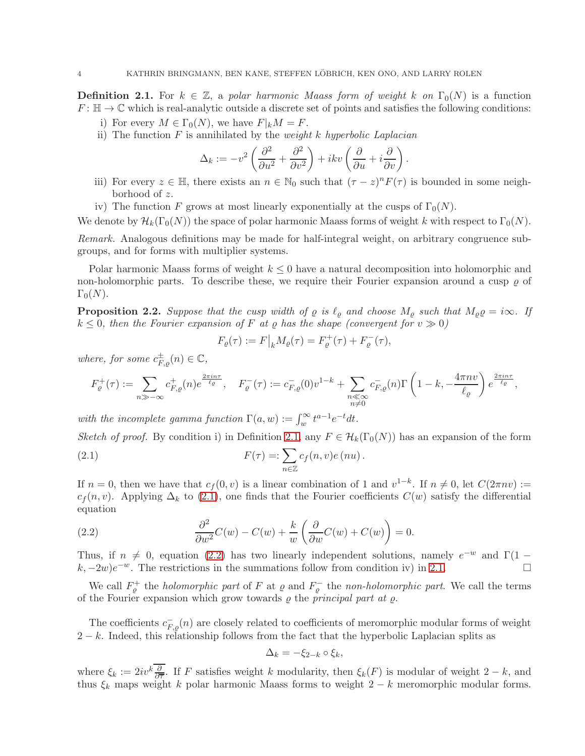<span id="page-3-0"></span>**Definition 2.1.** For  $k \in \mathbb{Z}$ , a polar harmonic Maass form of weight k on  $\Gamma_0(N)$  is a function  $F: \mathbb{H} \to \mathbb{C}$  which is real-analytic outside a discrete set of points and satisfies the following conditions:

- i) For every  $M \in \Gamma_0(N)$ , we have  $F|_k M = F$ .
- ii) The function  $F$  is annihilated by the *weight*  $k$  hyperbolic Laplacian

$$
\Delta_k := -v^2 \left( \frac{\partial^2}{\partial u^2} + \frac{\partial^2}{\partial v^2} \right) + ikv \left( \frac{\partial}{\partial u} + i \frac{\partial}{\partial v} \right)
$$

iii) For every  $z \in \mathbb{H}$ , there exists an  $n \in \mathbb{N}_0$  such that  $(\tau - z)^n F(\tau)$  is bounded in some neighborhood of z.

.

iv) The function F grows at most linearly exponentially at the cusps of  $\Gamma_0(N)$ .

We denote by  $\mathcal{H}_k(\Gamma_0(N))$  the space of polar harmonic Maass forms of weight k with respect to  $\Gamma_0(N)$ .

Remark. Analogous definitions may be made for half-integral weight, on arbitrary congruence subgroups, and for forms with multiplier systems.

Polar harmonic Maass forms of weight  $k \leq 0$  have a natural decomposition into holomorphic and non-holomorphic parts. To describe these, we require their Fourier expansion around a cusp  $\rho$  of  $\Gamma_0(N)$ .

**Proposition 2.2.** Suppose that the cusp width of  $\varrho$  is  $\ell_{\varrho}$  and choose  $M_{\varrho}$  such that  $M_{\varrho} \varrho = i\infty$ . If  $k \leq 0$ , then the Fourier expansion of F at  $\varrho$  has the shape (convergent for  $v \gg 0$ )

$$
F_{\varrho}(\tau) := F|_{k} M_{\varrho}(\tau) = F_{\varrho}^{+}(\tau) + F_{\varrho}^{-}(\tau),
$$

where, for some  $c_{F,\varrho}^{\pm}(n) \in \mathbb{C}$ ,

$$
F_{\varrho}^+(\tau) := \sum_{n \gg -\infty} c_{F,\varrho}^+(n) e^{\frac{2\pi i n \tau}{\ell_{\varrho}}}, \quad F_{\varrho}^-(\tau) := c_{F,\varrho}^-(0) v^{1-k} + \sum_{\substack{n \ll \infty \\ n \neq 0}} c_{F,\varrho}^-(n) \Gamma\left(1 - k, -\frac{4\pi n v}{\ell_{\varrho}}\right) e^{\frac{2\pi i n \tau}{\ell_{\varrho}}},
$$

with the incomplete gamma function  $\Gamma(a, w) := \int_{w}^{\infty} t^{a-1} e^{-t} dt$ .

Sketch of proof. By condition i) in Definition [2.1,](#page-3-0) any  $F \in \mathcal{H}_k(\Gamma_0(N))$  has an expansion of the form

<span id="page-3-1"></span>(2.1) 
$$
F(\tau) = \sum_{n \in \mathbb{Z}} c_f(n, v) e(nu).
$$

If  $n = 0$ , then we have that  $c_f(0, v)$  is a linear combination of 1 and  $v^{1-k}$ . If  $n \neq 0$ , let  $C(2\pi nv) :=$  $c_f(n, v)$ . Applying  $\Delta_k$  to [\(2.1\)](#page-3-1), one finds that the Fourier coefficients  $C(w)$  satisfy the differential equation

<span id="page-3-2"></span>(2.2) 
$$
\frac{\partial^2}{\partial w^2}C(w) - C(w) + \frac{k}{w}\left(\frac{\partial}{\partial w}C(w) + C(w)\right) = 0.
$$

Thus, if  $n \neq 0$ , equation [\(2.2\)](#page-3-2) has two linearly independent solutions, namely  $e^{-w}$  and  $\Gamma(1 (k, -2w)e^{-w}$ . The restrictions in the summations follow from condition iv) in [2.1.](#page-3-0)

We call  $F_{\varrho}^+$  the *holomorphic part* of F at  $\varrho$  and  $F_{\varrho}^-$  the *non-holomorphic part*. We call the terms of the Fourier expansion which grow towards  $\rho$  the principal part at  $\rho$ .

The coefficients  $c_{F,\varrho}^{-}(n)$  are closely related to coefficients of meromorphic modular forms of weight  $2-k$ . Indeed, this relationship follows from the fact that the hyperbolic Laplacian splits as

$$
\Delta_k = -\xi_{2-k} \circ \xi_k,
$$

where  $\xi_k := 2iv^k \frac{\partial}{\partial \overline{\tau}}$ . If F satisfies weight k modularity, then  $\xi_k(F)$  is modular of weight  $2 - k$ , and thus  $\xi_k$  maps weight k polar harmonic Maass forms to weight 2 − k meromorphic modular forms.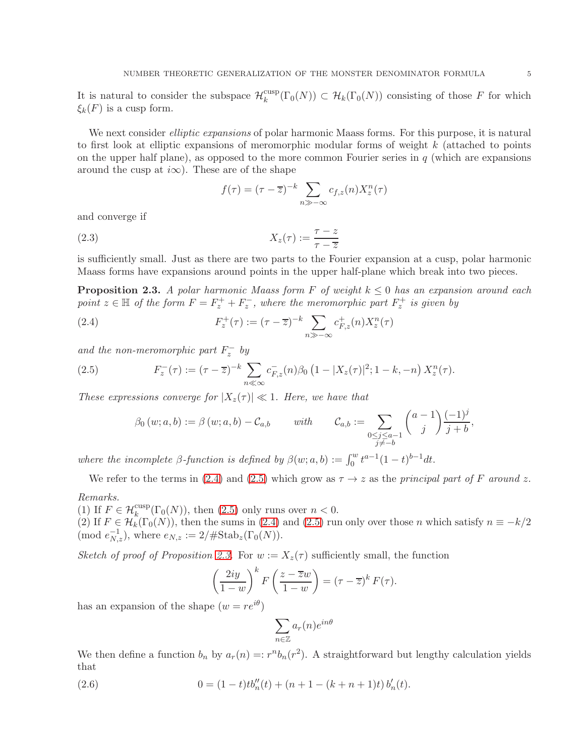It is natural to consider the subspace  $\mathcal{H}_k^{\text{cusp}}$  $\mathcal{C}_{k}^{\text{cusp}}(\Gamma_0(N)) \subset \mathcal{H}_k(\Gamma_0(N))$  consisting of those F for which  $\xi_k(F)$  is a cusp form.

We next consider *elliptic expansions* of polar harmonic Maass forms. For this purpose, it is natural to first look at elliptic expansions of meromorphic modular forms of weight k (attached to points on the upper half plane), as opposed to the more common Fourier series in  $q$  (which are expansions around the cusp at  $i\infty$ ). These are of the shape

$$
f(\tau) = (\tau - \overline{z})^{-k} \sum_{n \gg -\infty} c_{f,z}(n) X_z^n(\tau)
$$

and converge if

$$
(2.3) \t\t Xz(\tau) := \frac{\tau - z}{\tau - \overline{z}}
$$

is sufficiently small. Just as there are two parts to the Fourier expansion at a cusp, polar harmonic Maass forms have expansions around points in the upper half-plane which break into two pieces.

<span id="page-4-2"></span>**Proposition 2.3.** A polar harmonic Maass form F of weight  $k \leq 0$  has an expansion around each point  $z \in \mathbb{H}$  of the form  $F = F_z^+ + F_z^-$ , where the meromorphic part  $F_z^+$  is given by

(2.4) 
$$
F_z^+(\tau) := (\tau - \overline{z})^{-k} \sum_{n \gg -\infty} c_{F,z}^+(n) X_z^n(\tau)
$$

and the non-meromorphic part  $F_z^-$  by

(2.5) 
$$
F_z^-(\tau) := (\tau - \overline{z})^{-k} \sum_{n \ll \infty} c_{F,z}^-(n) \beta_0 \left(1 - |X_z(\tau)|^2; 1 - k, -n\right) X_z^n(\tau).
$$

These expressions converge for  $|X_z(\tau)| \ll 1$ . Here, we have that

<span id="page-4-1"></span><span id="page-4-0"></span>
$$
\beta_0(w;a,b) := \beta(w;a,b) - C_{a,b} \quad \text{with} \quad C_{a,b} := \sum_{\substack{0 \le j \le a-1 \\ j \ne -b}} \binom{a-1}{j} \frac{(-1)^j}{j+b},
$$

where the incomplete  $\beta$ -function is defined by  $\beta(w;a,b) := \int_0^w t^{a-1}(1-t)^{b-1}dt$ .

We refer to the terms in [\(2.4\)](#page-4-0) and [\(2.5\)](#page-4-1) which grow as  $\tau \to z$  as the principal part of F around z.

Remarks.

(1) If  $F \in \mathcal{H}_k^{\text{cusp}}(\Gamma_0(N))$ , then [\(2.5\)](#page-4-1) only runs over  $n < 0$ . (2) If  $F \in \mathcal{H}_k(\Gamma_0(N))$ , then the sums in [\(2.4\)](#page-4-0) and [\(2.5\)](#page-4-1) run only over those n which satisfy  $n \equiv -k/2$ (mod  $e_{N,z}^{-1}$ ), where  $e_{N,z} := 2/\# \text{Stab}_z(\Gamma_0(N)).$ 

Sketch of proof of Proposition [2.3.](#page-4-2) For  $w := X_z(\tau)$  sufficiently small, the function

$$
\left(\frac{2iy}{1-w}\right)^k F\left(\frac{z-\overline{z}w}{1-w}\right) = (\tau-\overline{z})^k F(\tau).
$$

has an expansion of the shape  $(w = re^{i\theta})$ 

<span id="page-4-3"></span>
$$
\sum_{n\in\mathbb{Z}} a_r(n)e^{in\theta}
$$

We then define a function  $b_n$  by  $a_r(n) =: r^n b_n(r^2)$ . A straightforward but lengthy calculation yields that

(2.6) 
$$
0 = (1-t)t b''_n(t) + (n+1-(k+n+1)t) b'_n(t).
$$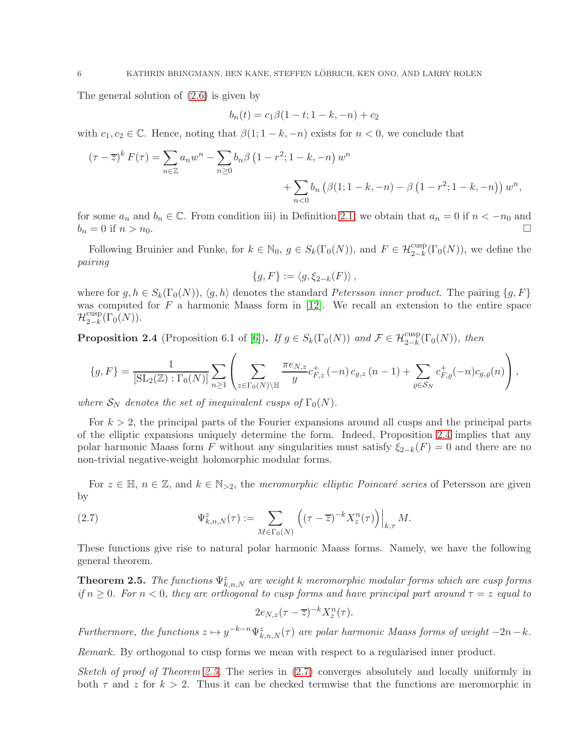The general solution of [\(2.6\)](#page-4-3) is given by

$$
b_n(t) = c_1 \beta (1 - t; 1 - k, -n) + c_2
$$

with  $c_1, c_2 \in \mathbb{C}$ . Hence, noting that  $\beta(1; 1-k, -n)$  exists for  $n < 0$ , we conclude that

$$
(\tau - \overline{z})^k F(\tau) = \sum_{n \in \mathbb{Z}} a_n w^n - \sum_{n \ge 0} b_n \beta (1 - r^2; 1 - k, -n) w^n
$$
  
+ 
$$
\sum_{n < 0} b_n (\beta(1; 1 - k, -n) - \beta (1 - r^2; 1 - k, -n)) w^n,
$$

for some  $a_n$  and  $b_n \in \mathbb{C}$ . From condition iii) in Definition [2.1,](#page-3-0) we obtain that  $a_n = 0$  if  $n < -n_0$  and  $b_n = 0$  if  $n > n_0$  $b_n = 0$  if  $n > n_0$ .

Following Bruinier and Funke, for  $k \in \mathbb{N}_0$ ,  $g \in S_k(\Gamma_0(N))$ , and  $F \in \mathcal{H}^{\text{cusp}}_{2-k}(\Gamma_0(N))$ , we define the pairing

$$
\{g,F\}:=\langle g,\xi_{2-k}(F)\rangle\,,
$$

where for  $g, h \in S_k(\Gamma_0(N)), \langle g, h \rangle$  denotes the standard *Petersson inner product*. The pairing  $\{g, F\}$ was computed for  $F$  a harmonic Maass form in [\[12\]](#page-11-8). We recall an extension to the entire space  $\mathcal{H}^{\mathrm{cusp}}_{2-k}$  $_{2-k}^{\text{cusp}}(\Gamma_0(N)).$ 

<span id="page-5-0"></span>**Proposition 2.4** (Proposition 6.1 of [\[6\]](#page-10-3)). If  $g \in S_k(\Gamma_0(N))$  and  $\mathcal{F} \in \mathcal{H}^{\text{cusp}}_{2-k}(\Gamma_0(N))$ , then

$$
\{g, F\} = \frac{1}{[\text{SL}_2(\mathbb{Z}) : \Gamma_0(N)]} \sum_{n \ge 1} \left( \sum_{z \in \Gamma_0(N) \backslash \mathbb{H}} \frac{\pi e_{N,z}}{y} c^+_{F,z} (-n) c_{g,z} (n-1) + \sum_{\varrho \in S_N} c^+_{F,\varrho} (-n) c_{g,\varrho}(n) \right),
$$

where  $\mathcal{S}_N$  denotes the set of inequivalent cusps of  $\Gamma_0(N)$ .

For  $k > 2$ , the principal parts of the Fourier expansions around all cusps and the principal parts of the elliptic expansions uniquely determine the form. Indeed, Proposition [2.4](#page-5-0) implies that any polar harmonic Maass form F without any singularities must satisfy  $\xi_{2-k}(F) = 0$  and there are no non-trivial negative-weight holomorphic modular forms.

For  $z \in \mathbb{H}$ ,  $n \in \mathbb{Z}$ , and  $k \in \mathbb{N}_{\geq 2}$ , the meromorphic elliptic Poincaré series of Petersson are given by

(2.7) 
$$
\Psi_{k,n,N}^z(\tau) := \sum_{M \in \Gamma_0(N)} \left( (\tau - \overline{z})^{-k} X_z^n(\tau) \right) \Big|_{k,\tau} M.
$$

These functions give rise to natural polar harmonic Maass forms. Namely, we have the following general theorem.

<span id="page-5-1"></span>**Theorem 2.5.** The functions  $\Psi_{k,n,N}^z$  are weight k meromorphic modular forms which are cusp forms if  $n \geq 0$ . For  $n < 0$ , they are orthogonal to cusp forms and have principal part around  $\tau = z$  equal to

<span id="page-5-2"></span>
$$
2e_{N,z}(\tau-\overline{z})^{-k}X_{z}^{n}(\tau).
$$

Furthermore, the functions  $z \mapsto y^{-k-n} \Psi_{k,n,N}^z(\tau)$  are polar harmonic Maass forms of weight  $-2n-k$ .

Remark. By orthogonal to cusp forms we mean with respect to a regularised inner product.

Sketch of proof of Theorem [2.5.](#page-5-1) The series in  $(2.7)$  converges absolutely and locally uniformly in both  $\tau$  and z for  $k > 2$ . Thus it can be checked termwise that the functions are meromorphic in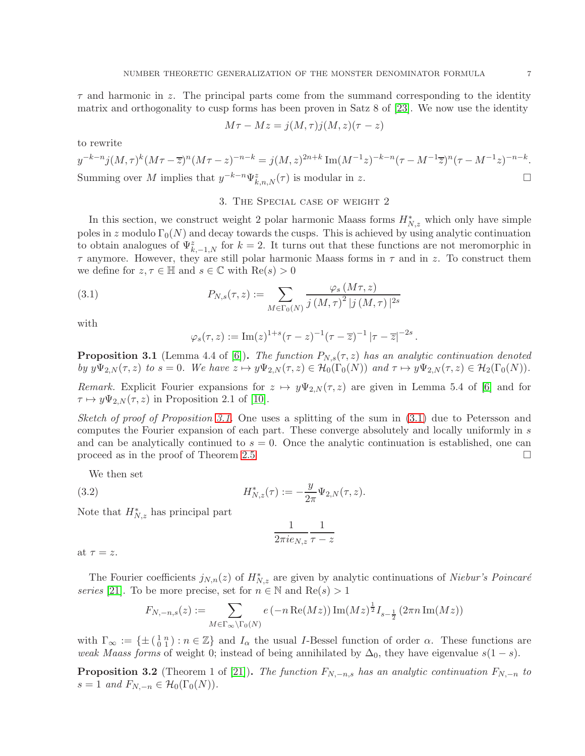$\tau$  and harmonic in z. The principal parts come from the summand corresponding to the identity matrix and orthogonality to cusp forms has been proven in Satz 8 of [\[23\]](#page-11-9). We now use the identity

$$
M\tau - Mz = j(M, \tau)j(M, z)(\tau - z)
$$

to rewrite

$$
y^{-k-n}j(M,\tau)^k(M\tau-\overline{z})^n(M\tau-z)^{-n-k} = j(M,z)^{2n+k} \operatorname{Im}(M^{-1}z)^{-k-n}(\tau-M^{-1}\overline{z})^n(\tau-M^{-1}z)^{-n-k}.
$$
  
Summing over  $M$  implies that  $y^{-k-n}\Psi_{k,n,N}^z(\tau)$  is modular in  $z$ .

#### 3. The Special case of weight 2

<span id="page-6-0"></span>In this section, we construct weight 2 polar harmonic Maass forms  $H^*_{N,z}$  which only have simple poles in z modulo  $\Gamma_0(N)$  and decay towards the cusps. This is achieved by using analytic continuation to obtain analogues of  $\Psi_{k,-1,N}^z$  for  $k = 2$ . It turns out that these functions are not meromorphic in  $\tau$  anymore. However, they are still polar harmonic Maass forms in  $\tau$  and in z. To construct them we define for  $z, \tau \in \mathbb{H}$  and  $s \in \mathbb{C}$  with  $\text{Re}(s) > 0$ 

(3.1) 
$$
P_{N,s}(\tau,z) := \sum_{M \in \Gamma_0(N)} \frac{\varphi_s(M\tau,z)}{j(M,\tau)^2 |j(M,\tau)|^{2s}}
$$

with

<span id="page-6-2"></span>
$$
\varphi_s(\tau, z) := \text{Im}(z)^{1+s} (\tau - z)^{-1} (\tau - \overline{z})^{-1} |\tau - \overline{z}|^{-2s}.
$$

<span id="page-6-1"></span>**Proposition 3.1** (Lemma 4.4 of [\[6\]](#page-10-3)). The function  $P_{N,s}(\tau,z)$  has an analytic continuation denoted by  $y\Psi_{2,N}(\tau, z)$  to  $s = 0$ . We have  $z \mapsto y\Psi_{2,N}(\tau, z) \in \mathcal{H}_0(\Gamma_0(N))$  and  $\tau \mapsto y\Psi_{2,N}(\tau, z) \in \mathcal{H}_2(\Gamma_0(N))$ .

Remark. Explicit Fourier expansions for  $z \mapsto y\Psi_{2,N}(\tau, z)$  are given in Lemma 5.4 of [\[6\]](#page-10-3) and for  $\tau \mapsto y\Psi_{2,N}(\tau,z)$  in Proposition 2.1 of [\[10\]](#page-10-1).

Sketch of proof of Proposition [3.1.](#page-6-1) One uses a splitting of the sum in  $(3.1)$  due to Petersson and computes the Fourier expansion of each part. These converge absolutely and locally uniformly in s and can be analytically continued to  $s = 0$ . Once the analytic continuation is established, one can proceed as in the proof of Theorem [2.5](#page-5-1)

We then set

(3.2) 
$$
H_{N,z}^*(\tau) := -\frac{y}{2\pi} \Psi_{2,N}(\tau,z).
$$

Note that  $H_{N,z}^*$  has principal part

$$
\frac{1}{2\pi i e_{N,z}}\frac{1}{\tau-z}
$$

at  $\tau = z$ .

The Fourier coefficients  $j_{N,n}(z)$  of  $H^*_{N,z}$  are given by analytic continuations of Niebur's Poincaré series [\[21\]](#page-11-10). To be more precise, set for  $n \in \mathbb{N}$  and  $\text{Re}(s) > 1$ 

$$
F_{N,-n,s}(z) := \sum_{M \in \Gamma_{\infty} \backslash \Gamma_0(N)} e(-n \operatorname{Re}(Mz)) \operatorname{Im}(Mz)^{\frac{1}{2}} I_{s-\frac{1}{2}}(2\pi n \operatorname{Im}(Mz))
$$

with  $\Gamma_{\infty} := \{\pm (\begin{smallmatrix} 1 & n \\ 0 & 1 \end{smallmatrix}) : n \in \mathbb{Z}\}$  and  $I_{\alpha}$  the usual *I*-Bessel function of order  $\alpha$ . These functions are weak Maass forms of weight 0; instead of being annihilated by  $\Delta_0$ , they have eigenvalue  $s(1-s)$ .

<span id="page-6-3"></span>**Proposition 3.2** (Theorem 1 of [\[21\]](#page-11-10)). The function  $F_{N,-n,s}$  has an analytic continuation  $F_{N,-n}$  to  $s = 1$  and  $F_{N,-n} \in \mathcal{H}_0(\Gamma_0(N)).$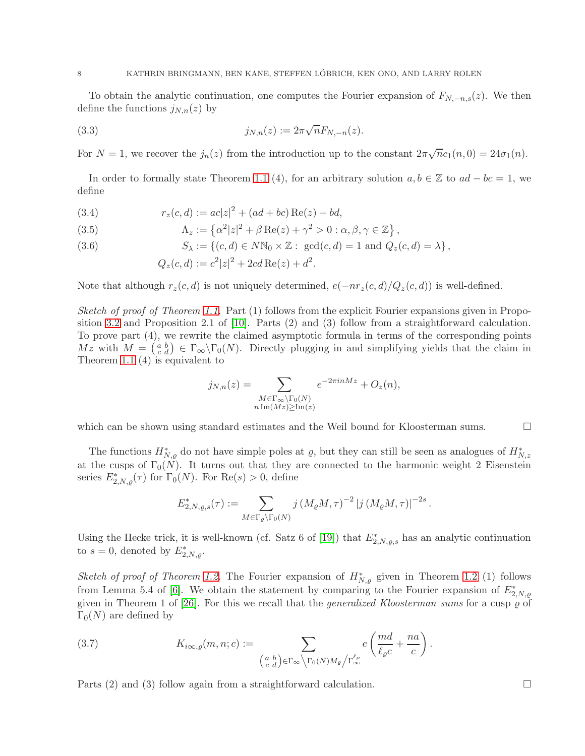To obtain the analytic continuation, one computes the Fourier expansion of  $F_{N,-n,s}(z)$ . We then define the functions  $j_{N,n}(z)$  by

(3.3) 
$$
j_{N,n}(z) := 2\pi \sqrt{n} F_{N,-n}(z).
$$

For  $N = 1$ , we recover the  $j_n(z)$  from the introduction up to the constant  $2\pi\sqrt{n}c_1(n,0) = 24\sigma_1(n)$ .

In order to formally state Theorem [1.1](#page-1-0) (4), for an arbitrary solution  $a, b \in \mathbb{Z}$  to  $ad - bc = 1$ , we define

<span id="page-7-0"></span>(3.4) 
$$
r_z(c,d) := ac|z|^2 + (ad+bc) \operatorname{Re}(z) + bd,
$$

<span id="page-7-1"></span>(3.5) 
$$
\Lambda_z := \left\{ \alpha^2 |z|^2 + \beta \operatorname{Re}(z) + \gamma^2 > 0 : \alpha, \beta, \gamma \in \mathbb{Z} \right\},
$$

<span id="page-7-2"></span>(3.6) 
$$
S_{\lambda} := \{ (c,d) \in N\mathbb{N}_0 \times \mathbb{Z} : \operatorname{gcd}(c,d) = 1 \text{ and } Q_z(c,d) = \lambda \},
$$

$$
Q_z(c,d) := c^2|z|^2 + 2cd \operatorname{Re}(z) + d^2.
$$

Note that although  $r_z(c, d)$  is not uniquely determined,  $e(-nr_z(c, d)/Q_z(c, d))$  is well-defined.

Sketch of proof of Theorem [1.1.](#page-1-0) Part (1) follows from the explicit Fourier expansions given in Proposition [3.2](#page-6-3) and Proposition 2.1 of [\[10\]](#page-10-1). Parts (2) and (3) follow from a straightforward calculation. To prove part (4), we rewrite the claimed asymptotic formula in terms of the corresponding points  $Mz$  with  $M = \begin{pmatrix} a & b \\ c & d \end{pmatrix} \in \Gamma_{\infty} \backslash \Gamma_0(N)$ . Directly plugging in and simplifying yields that the claim in Theorem [1.1](#page-1-0) (4) is equivalent to

$$
j_{N,n}(z) = \sum_{\substack{M \in \Gamma_{\infty} \backslash \Gamma_0(N) \\ n \operatorname{Im}(Mz) \ge \operatorname{Im}(z)}} e^{-2\pi i n M z} + O_z(n),
$$

which can be shown using standard estimates and the Weil bound for Kloosterman sums.  $\Box$ 

The functions  $H^*_{N,\varrho}$  do not have simple poles at  $\varrho$ , but they can still be seen as analogues of  $H^*_{N,z}$ at the cusps of  $\Gamma_0(N)$ . It turns out that they are connected to the harmonic weight 2 Eisenstein series  $E_{2,N,\varrho}^*(\tau)$  for  $\Gamma_0(N)$ . For  $\text{Re}(s) > 0$ , define

$$
E_{2,N,\varrho,s}^*(\tau) := \sum_{M \in \Gamma_\varrho \backslash \Gamma_0(N)} j \left( M_\varrho M, \tau \right)^{-2} |j \left( M_\varrho M, \tau \right)|^{-2s}.
$$

Using the Hecke trick, it is well-known (cf. Satz 6 of [\[19\]](#page-11-11)) that  $E_{2,N,\varrho,s}^{*}$  has an analytic continuation to  $s = 0$ , denoted by  $E_{2,N,\varrho}^*$ .

Sketch of proof of Theorem [1.2.](#page-2-1) The Fourier expansion of  $H^*_{N,\varrho}$  given in Theorem [1.2](#page-2-1) (1) follows from Lemma 5.4 of [\[6\]](#page-10-3). We obtain the statement by comparing to the Fourier expansion of  $E_{2,N,\varrho}^*$ given in Theorem 1 of  $[26]$ . For this we recall that the *generalized Kloosterman sums* for a cusp  $\varrho$  of  $\Gamma_0(N)$  are defined by

<span id="page-7-3"></span>(3.7) 
$$
K_{i\infty,\varrho}(m,n;c) := \sum_{\left(\begin{smallmatrix} a & b \\ c & d \end{smallmatrix}\right) \in \Gamma_{\infty} \backslash \Gamma_0(N)M_{\varrho}/\Gamma_{\infty}^{\ell_{\varrho}}} e\left(\frac{md}{\ell_{\varrho}c} + \frac{na}{c}\right).
$$

Parts (2) and (3) follow again from a straightforward calculation.  $\square$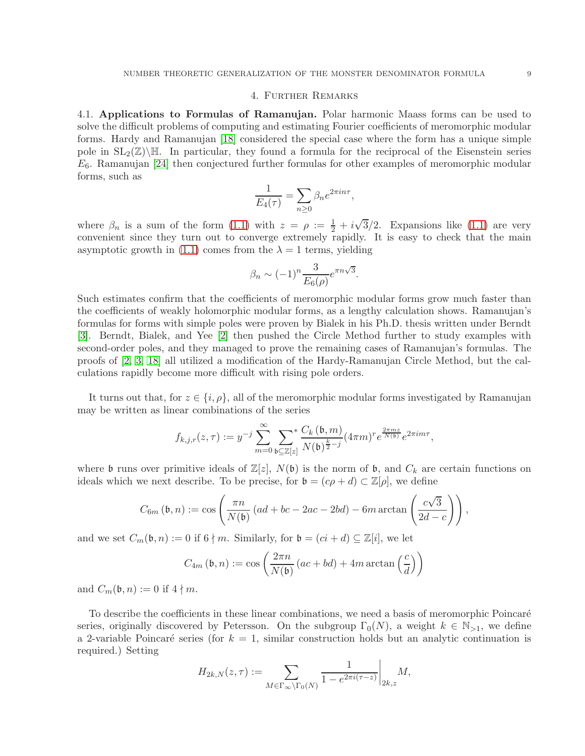#### 4. Further Remarks

<span id="page-8-0"></span>4.1. Applications to Formulas of Ramanujan. Polar harmonic Maass forms can be used to solve the difficult problems of computing and estimating Fourier coefficients of meromorphic modular forms. Hardy and Ramanujan [\[18\]](#page-11-13) considered the special case where the form has a unique simple pole in  $SL_2(\mathbb{Z})\backslash\mathbb{H}$ . In particular, they found a formula for the reciprocal of the Eisenstein series  $E_6$ . Ramanujan [\[24\]](#page-11-14) then conjectured further formulas for other examples of meromorphic modular forms, such as

$$
\frac{1}{E_4(\tau)} = \sum_{n \ge 0} \beta_n e^{2\pi i n \tau},
$$

where  $\beta_n$  is a sum of the form [\(1.1\)](#page-1-1) with  $z = \rho := \frac{1}{2} + i\sqrt{3}/2$ . Expansions like (1.1) are very convenient since they turn out to converge extremely rapidly. It is easy to check that the main asymptotic growth in [\(1.1\)](#page-1-1) comes from the  $\lambda = 1$  terms, yielding

$$
\beta_n \sim (-1)^n \frac{3}{E_6(\rho)} e^{\pi n \sqrt{3}}.
$$

Such estimates confirm that the coefficients of meromorphic modular forms grow much faster than the coefficients of weakly holomorphic modular forms, as a lengthy calculation shows. Ramanujan's formulas for forms with simple poles were proven by Bialek in his Ph.D. thesis written under Berndt [\[3\]](#page-10-4). Berndt, Bialek, and Yee [\[2\]](#page-10-5) then pushed the Circle Method further to study examples with second-order poles, and they managed to prove the remaining cases of Ramanujan's formulas. The proofs of [\[2,](#page-10-5) [3,](#page-10-4) [18\]](#page-11-13) all utilized a modification of the Hardy-Ramanujan Circle Method, but the calculations rapidly become more difficult with rising pole orders.

It turns out that, for  $z \in \{i, \rho\}$ , all of the meromorphic modular forms investigated by Ramanujan may be written as linear combinations of the series

$$
f_{k,j,r}(z,\tau) := y^{-j} \sum_{m=0}^{\infty} \sum_{\mathfrak{b} \subseteq \mathbb{Z}[z]} \frac{C_k(\mathfrak{b},m)}{N(\mathfrak{b})^{\frac{k}{2}-j}} (4\pi m)^r e^{\frac{2\pi mz}{N(\mathfrak{b})}} e^{2\pi im\tau},
$$

where b runs over primitive ideals of  $\mathbb{Z}[z]$ ,  $N(\mathfrak{b})$  is the norm of b, and  $C_k$  are certain functions on ideals which we next describe. To be precise, for  $\mathfrak{b} = (c\rho + d) \subset \mathbb{Z}[\rho]$ , we define

$$
C_{6m}(\mathfrak{b},n) := \cos\left(\frac{\pi n}{N(\mathfrak{b})} \left(ad + bc - 2ac - 2bd\right) - 6m \arctan\left(\frac{c\sqrt{3}}{2d - c}\right)\right),\,
$$

and we set  $C_m(\mathfrak{b}, n) := 0$  if  $6 \nmid m$ . Similarly, for  $\mathfrak{b} = (ci + d) \subseteq \mathbb{Z}[i]$ , we let

$$
C_{4m}(\mathfrak{b}, n) := \cos\left(\frac{2\pi n}{N(\mathfrak{b})} (ac + bd) + 4m \arctan\left(\frac{c}{d}\right)\right)
$$

and  $C_m(\mathfrak{b}, n) := 0$  if  $4 \nmid m$ .

To describe the coefficients in these linear combinations, we need a basis of meromorphic Poincaré series, originally discovered by Petersson. On the subgroup  $\Gamma_0(N)$ , a weight  $k \in \mathbb{N}_{\geq 1}$ , we define a 2-variable Poincaré series (for  $k = 1$ , similar construction holds but an analytic continuation is required.) Setting

$$
H_{2k,N}(z,\tau) := \sum_{M \in \Gamma_{\infty} \backslash \Gamma_0(N)} \frac{1}{1 - e^{2\pi i (\tau - z)}} \bigg|_{2k,z} M,
$$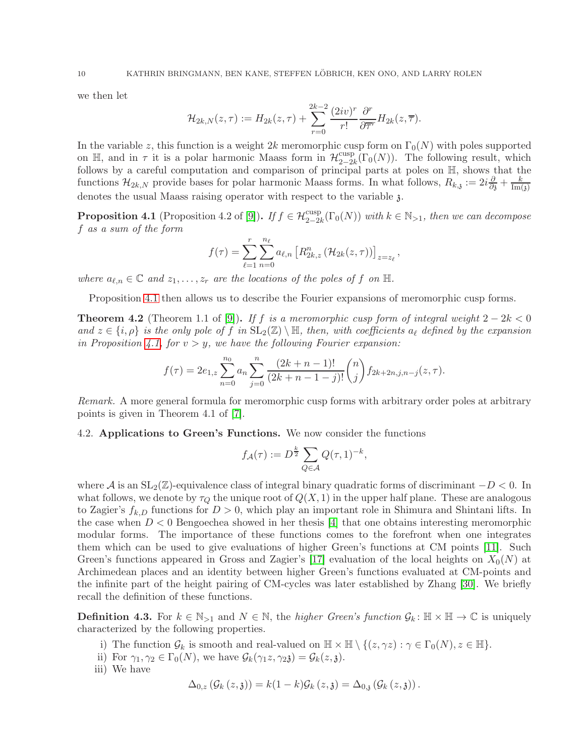we then let

$$
\mathcal{H}_{2k,N}(z,\tau) := H_{2k}(z,\tau) + \sum_{r=0}^{2k-2} \frac{(2iv)^r}{r!} \frac{\partial^r}{\partial \overline{\tau}^r} H_{2k}(z,\overline{\tau}).
$$

In the variable z, this function is a weight 2k meromorphic cusp form on  $\Gamma_0(N)$  with poles supported on  $\mathbb{H}$ , and in  $\tau$  it is a polar harmonic Maass form in  $\mathcal{H}_{2-2i}^{\text{cusp}}$  $2^{-2k}$  $(\Gamma_0(N))$ . The following result, which follows by a careful computation and comparison of principal parts at poles on H, shows that the functions  $\mathcal{H}_{2k,N}$  provide bases for polar harmonic Maass forms. In what follows,  $R_{k,j} := 2i \frac{\partial}{\partial s} + \frac{k}{\text{Im}(s)}$  $\text{Im}(\mathfrak{z})$ denotes the usual Maass raising operator with respect to the variable  $\lambda$ .

<span id="page-9-0"></span>**Proposition 4.1** (Proposition 4.2 of [\[9\]](#page-10-6)). If  $f \in \mathcal{H}_{2-2k}^{cusp}(\Gamma_0(N))$  with  $k \in \mathbb{N}_{>1}$ , then we can decompose f as a sum of the form

$$
f(\tau) = \sum_{\ell=1}^{r} \sum_{n=0}^{n_{\ell}} a_{\ell,n} \left[ R_{2k,z}^{n} \left( \mathcal{H}_{2k}(z,\tau) \right) \right]_{z=z_{\ell}},
$$

where  $a_{\ell,n} \in \mathbb{C}$  and  $z_1, \ldots, z_r$  are the locations of the poles of f on  $\mathbb{H}$ .

Proposition [4.1](#page-9-0) then allows us to describe the Fourier expansions of meromorphic cusp forms.

**Theorem 4.2** (Theorem 1.1 of [\[9\]](#page-10-6)). If f is a meromorphic cusp form of integral weight  $2 - 2k < 0$ and  $z \in \{i, \rho\}$  is the only pole of f in  $SL_2(\mathbb{Z}) \setminus \mathbb{H}$ , then, with coefficients  $a_\ell$  defined by the expansion in Proposition [4.1,](#page-9-0) for  $v > y$ , we have the following Fourier expansion:

$$
f(\tau) = 2e_{1,z} \sum_{n=0}^{n_0} a_n \sum_{j=0}^n \frac{(2k+n-1)!}{(2k+n-1-j)!} \binom{n}{j} f_{2k+2n,j,n-j}(z,\tau).
$$

Remark. A more general formula for meromorphic cusp forms with arbitrary order poles at arbitrary points is given in Theorem 4.1 of [\[7\]](#page-10-7).

4.2. Applications to Green's Functions. We now consider the functions

$$
f_{\mathcal{A}}(\tau) := D^{\frac{k}{2}} \sum_{Q \in \mathcal{A}} Q(\tau, 1)^{-k},
$$

where A is an  $SL_2(\mathbb{Z})$ -equivalence class of integral binary quadratic forms of discriminant  $-D < 0$ . In what follows, we denote by  $\tau_Q$  the unique root of  $Q(X, 1)$  in the upper half plane. These are analogous to Zagier's  $f_{k,D}$  functions for  $D > 0$ , which play an important role in Shimura and Shintani lifts. In the case when  $D < 0$  Bengoechea showed in her thesis [\[4\]](#page-10-8) that one obtains interesting meromorphic modular forms. The importance of these functions comes to the forefront when one integrates them which can be used to give evaluations of higher Green's functions at CM points [\[11\]](#page-11-15). Such Green's functions appeared in Gross and Zagier's [\[17\]](#page-11-16) evaluation of the local heights on  $X_0(N)$  at Archimedean places and an identity between higher Green's functions evaluated at CM-points and the infinite part of the height pairing of CM-cycles was later established by Zhang [\[30\]](#page-11-17). We briefly recall the definition of these functions.

**Definition 4.3.** For  $k \in \mathbb{N}_{>1}$  and  $N \in \mathbb{N}$ , the *higher Green's function*  $\mathcal{G}_k : \mathbb{H} \times \mathbb{H} \to \mathbb{C}$  is uniquely characterized by the following properties.

- i) The function  $\mathcal{G}_k$  is smooth and real-valued on  $\mathbb{H} \times \mathbb{H} \setminus \{(z, \gamma z) : \gamma \in \Gamma_0(N), z \in \mathbb{H}\}.$
- ii) For  $\gamma_1, \gamma_2 \in \Gamma_0(N)$ , we have  $\mathcal{G}_k(\gamma_1 z, \gamma_2 z) = \mathcal{G}_k(z, z)$ .
- iii) We have

$$
\Delta_{0,z}(\mathcal{G}_k(z,\mathfrak{z}))=k(1-k)\mathcal{G}_k(z,\mathfrak{z})=\Delta_{0,\mathfrak{z}}(\mathcal{G}_k(z,\mathfrak{z})).
$$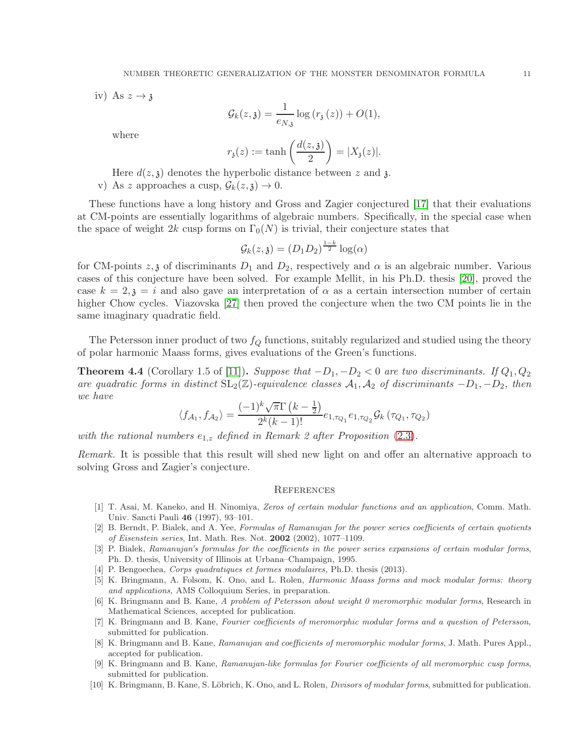iv) As  $z \rightarrow \mathfrak{z}$ 

$$
\mathcal{G}_k(z,\mathfrak{z}) = \frac{1}{e_{N,\mathfrak{z}}} \log \left( r_{\mathfrak{z}}(z) \right) + O(1),
$$

where

$$
r_{\mathfrak{z}}(z) := \tanh\left(\frac{d(z,\mathfrak{z})}{2}\right) = |X_{\mathfrak{z}}(z)|.
$$

- Here  $d(z, \mathfrak{z})$  denotes the hyperbolic distance between z and  $\mathfrak{z}$ .
- v) As z approaches a cusp,  $\mathcal{G}_k(z,\mathfrak{z}) \to 0$ .

These functions have a long history and Gross and Zagier conjectured [\[17\]](#page-11-16) that their evaluations at CM-points are essentially logarithms of algebraic numbers. Specifically, in the special case when the space of weight 2k cusp forms on  $\Gamma_0(N)$  is trivial, their conjecture states that

$$
\mathcal{G}_k(z,\mathfrak{z}) = (D_1D_2)^{\frac{1-k}{2}}\log(\alpha)
$$

for CM-points  $z, \zeta$  of discriminants  $D_1$  and  $D_2$ , respectively and  $\alpha$  is an algebraic number. Various cases of this conjecture have been solved. For example Mellit, in his Ph.D. thesis [\[20\]](#page-11-18), proved the case  $k = 2, \mathfrak{z} = i$  and also gave an interpretation of  $\alpha$  as a certain intersection number of certain higher Chow cycles. Viazovska [\[27\]](#page-11-19) then proved the conjecture when the two CM points lie in the same imaginary quadratic field.

The Petersson inner product of two  $f_Q$  functions, suitably regularized and studied using the theory of polar harmonic Maass forms, gives evaluations of the Green's functions.

**Theorem 4.4** (Corollary 1.5 of [\[11\]](#page-11-15)). Suppose that  $-D_1, -D_2 < 0$  are two discriminants. If  $Q_1, Q_2$ are quadratic forms in distinct  $SL_2(\mathbb{Z})$ -equivalence classes  $\mathcal{A}_1, \mathcal{A}_2$  of discriminants  $-D_1, -D_2$ , then we have

$$
\langle f_{A_1}, f_{A_2} \rangle = \frac{(-1)^k \sqrt{\pi} \Gamma(k - \frac{1}{2})}{2^k (k - 1)!} e_{1, \tau_{Q_1}} e_{1, \tau_{Q_2}} \mathcal{G}_k(\tau_{Q_1}, \tau_{Q_2})
$$

with the rational numbers  $e_{1,z}$  defined in Remark 2 after Proposition [\(2.3\)](#page-4-2).

Remark. It is possible that this result will shed new light on and offer an alternative approach to solving Gross and Zagier's conjecture.

#### **REFERENCES**

- <span id="page-10-0"></span>[1] T. Asai, M. Kaneko, and H. Ninomiya, Zeros of certain modular functions and an application, Comm. Math. Univ. Sancti Pauli 46 (1997), 93–101.
- <span id="page-10-5"></span>[2] B. Berndt, P. Bialek, and A. Yee, Formulas of Ramanujan for the power series coefficients of certain quotients of Eisenstein series, Int. Math. Res. Not. 2002 (2002), 1077–1109.
- <span id="page-10-4"></span>[3] P. Bialek, Ramanujan's formulas for the coefficients in the power series expansions of certain modular forms, Ph. D. thesis, University of Illinois at Urbana–Champaign, 1995.
- <span id="page-10-8"></span><span id="page-10-2"></span>[4] P. Bengoechea, Corps quadratiques et formes modulaires, Ph.D. thesis (2013).
- [5] K. Bringmann, A. Folsom, K. Ono, and L. Rolen, Harmonic Maass forms and mock modular forms: theory and applications, AMS Colloquium Series, in preparation.
- <span id="page-10-3"></span>[6] K. Bringmann and B. Kane, A problem of Petersson about weight 0 meromorphic modular forms, Research in Mathematical Sciences, accepted for publication.
- <span id="page-10-7"></span>[7] K. Bringmann and B. Kane, Fourier coefficients of meromorphic modular forms and a question of Petersson, submitted for publication.
- [8] K. Bringmann and B. Kane, Ramanujan and coefficients of meromorphic modular forms, J. Math. Pures Appl., accepted for publication.
- <span id="page-10-6"></span>[9] K. Bringmann and B. Kane, Ramanujan-like formulas for Fourier coefficients of all meromorphic cusp forms, submitted for publication.
- <span id="page-10-1"></span>[10] K. Bringmann, B. Kane, S. Löbrich, K. Ono, and L. Rolen, *Divisors of modular forms*, submitted for publication.